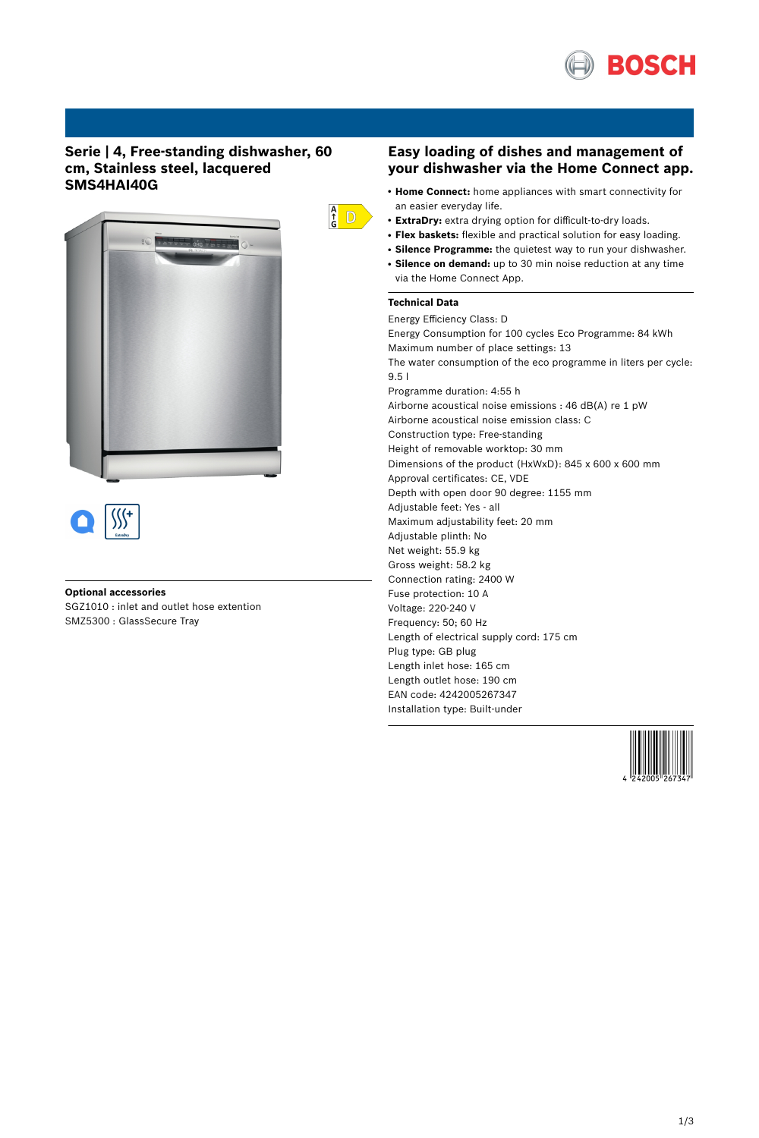

# **Serie | 4, Free-standing dishwasher, 60 cm, Stainless steel, lacquered SMS4HAI40G**





## **Optional accessories**

SGZ1010 : inlet and outlet hose extention SMZ5300 : GlassSecure Tray

## **Easy loading of dishes and management of your dishwasher via the Home Connect app.**

- **Home Connect:** home appliances with smart connectivity for an easier everyday life.
- **ExtraDry:** extra drying option for difficult-to-dry loads.
- **Flex baskets:** flexible and practical solution for easy loading.
- **Silence Programme:** the quietest way to run your dishwasher.
- Silence on demand: up to 30 min noise reduction at any time via the Home Connect App.

## **Technical Data**

 $\frac{A}{G}$  D

Energy Efficiency Class: D Energy Consumption for 100 cycles Eco Programme: 84 kWh Maximum number of place settings: 13 The water consumption of the eco programme in liters per cycle: 9.5 l Programme duration: 4:55 h Airborne acoustical noise emissions : 46 dB(A) re 1 pW Airborne acoustical noise emission class: C Construction type: Free-standing Height of removable worktop: 30 mm Dimensions of the product (HxWxD): 845 x 600 x 600 mm Approval certificates: CE, VDE Depth with open door 90 degree: 1155 mm Adjustable feet: Yes - all Maximum adjustability feet: 20 mm Adjustable plinth: No Net weight: 55.9 kg Gross weight: 58.2 kg Connection rating: 2400 W Fuse protection: 10 A Voltage: 220-240 V Frequency: 50; 60 Hz Length of electrical supply cord: 175 cm Plug type: GB plug Length inlet hose: 165 cm Length outlet hose: 190 cm EAN code: 4242005267347 Installation type: Built-under

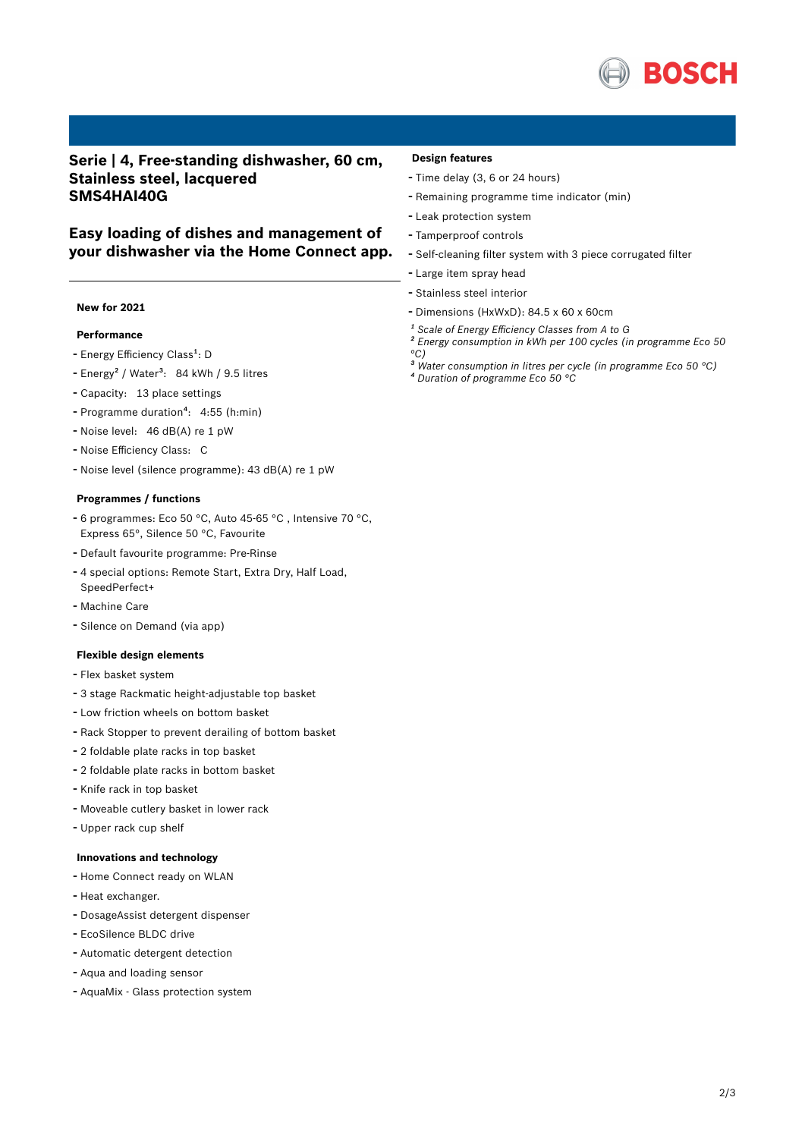

**Serie | 4, Free-standing dishwasher, 60 cm, Stainless steel, lacquered SMS4HAI40G**

# **Easy loading of dishes and management of your dishwasher via the Home Connect app.**

#### **New for 2021**

## **Performance**

- Energy Efficiency Class<sup>1</sup>: D
- Energy<sup>2</sup> / Water<sup>3</sup>: 84 kWh / 9.5 litres
- Capacity: <sup>13</sup> place settings
- Programme duration<sup>4</sup>: 4:55 (h:min)
- Noise level: <sup>46</sup> dB(A) re <sup>1</sup> pW
- Noise Efficiency Class: <sup>C</sup>
- Noise level (silence programme): <sup>43</sup> dB(A) re <sup>1</sup> pW

#### **Programmes / functions**

- <sup>6</sup> programmes: Eco <sup>50</sup> °C, Auto 45-65 °C , Intensive <sup>70</sup> °C, Express 65°, Silence 50 °C, Favourite
- Default favourite programme: Pre-Rinse
- <sup>4</sup> special options: Remote Start, Extra Dry, Half Load, SpeedPerfect+
- Machine Care
- Silence on Demand (via app)

#### **Flexible design elements**

- Flex basket system
- <sup>3</sup> stage Rackmatic height-adjustable top basket
- Low friction wheels on bottom basket
- Rack Stopper to prevent derailing of bottom basket
- <sup>2</sup> foldable plate racks in top basket
- <sup>2</sup> foldable plate racks in bottom basket
- Knife rack in top basket
- Moveable cutlery basket in lower rack
- Upper rack cup shelf

#### **Innovations and technology**

- Home Connect ready on WLAN
- Heat exchanger.
- DosageAssist detergent dispenser
- EcoSilence BLDC drive
- Automatic detergent detection
- Aqua and loading sensor
- AquaMix Glass protection system

#### **Design features**

- Time delay (3, <sup>6</sup> or <sup>24</sup> hours)
- Remaining programme time indicator (min)
- Leak protection system
- Tamperproof controls
- Self-cleaning filter system with <sup>3</sup> piece corrugated filter
- Large item spray head
- Stainless steel interior
- Dimensions (HxWxD): 84.5 x 60 x 60cm
- *¹ Scale of Energy Efficiency Classes from A to G*
- *² Energy consumption in kWh per 100 cycles (in programme Eco 50 °C)*
- *³ Water consumption in litres per cycle (in programme Eco 50 °C) ⁴ Duration of programme Eco 50 °C*